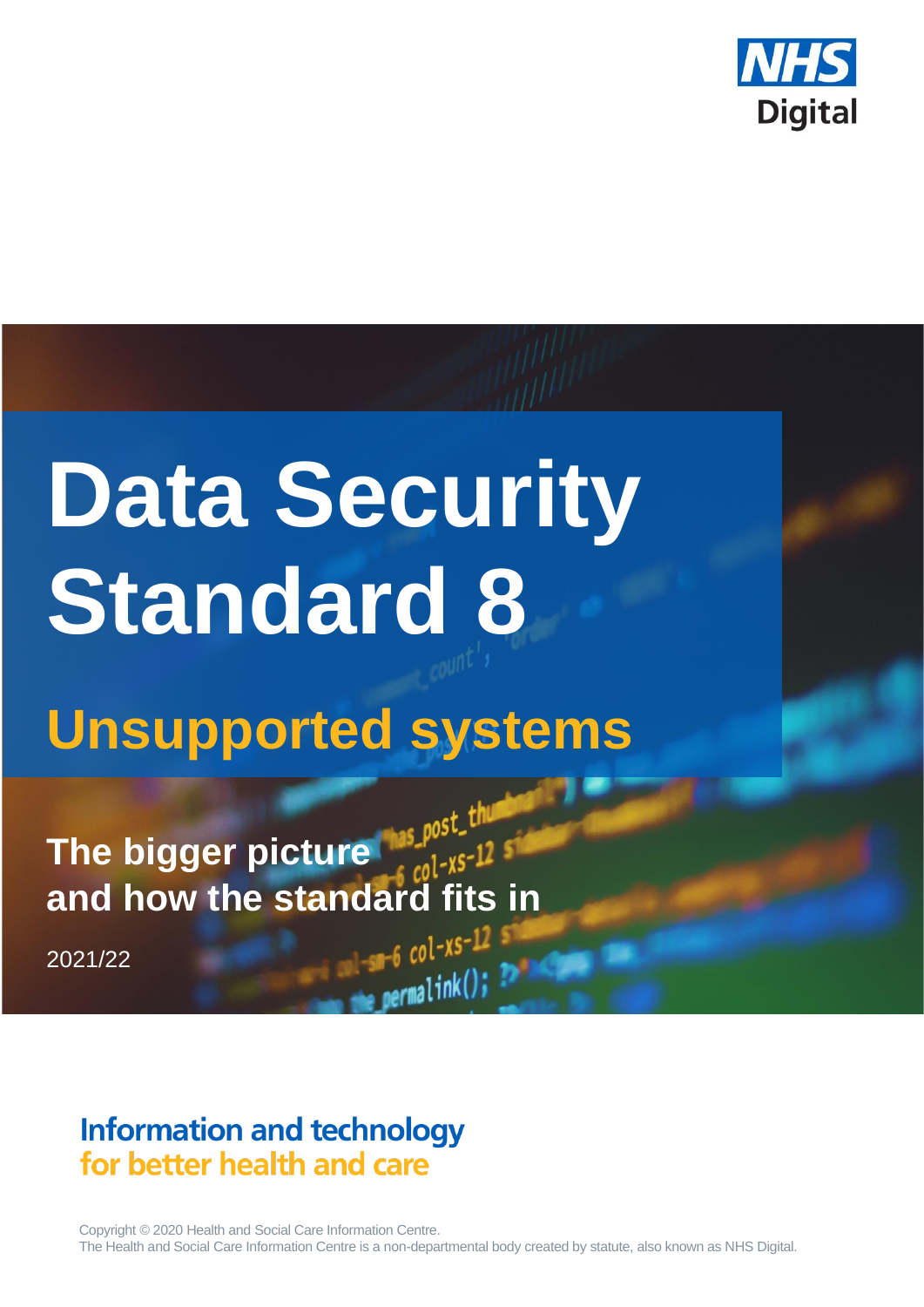

# **Data Security Standard 8**

# **Unsupported systems**

**The bigger picture and how the standard fits in**

2021/22

# **Information and technology** for better health and care

Copyright © 2020 Health and Social Care Information Centre. The Health and Social Care Information Centre is a non-departmental body created by statute, also known as NHS Digital.

 $permaink()$ ;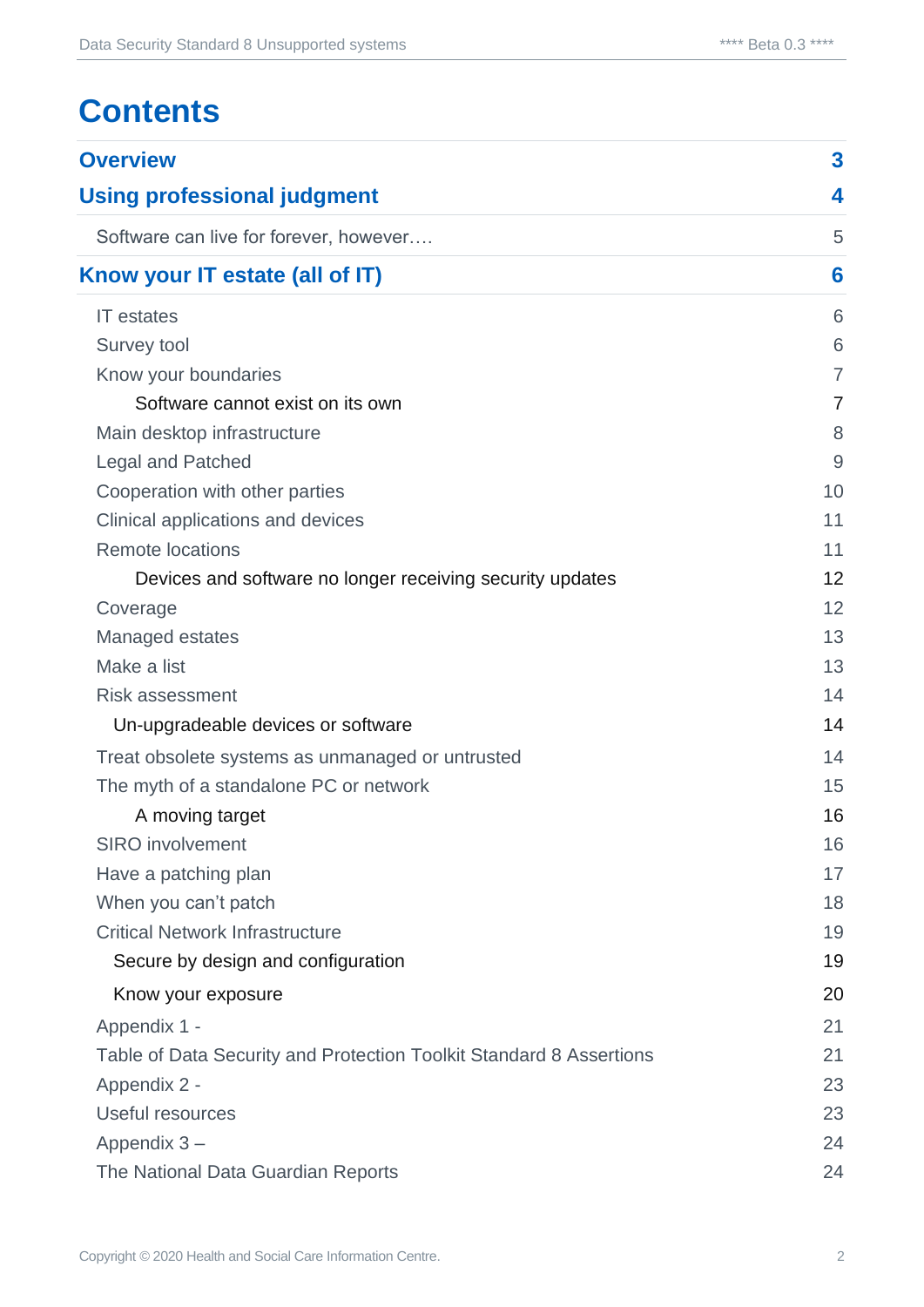# **Contents**

| <b>Overview</b>                                                     | 3              |  |
|---------------------------------------------------------------------|----------------|--|
| <b>Using professional judgment</b>                                  |                |  |
| Software can live for forever, however                              | 5              |  |
| Know your IT estate (all of IT)                                     |                |  |
| <b>IT</b> estates                                                   | 6              |  |
| Survey tool                                                         | 6              |  |
| Know your boundaries                                                | $\overline{7}$ |  |
| Software cannot exist on its own                                    | 7              |  |
| Main desktop infrastructure                                         | 8              |  |
| <b>Legal and Patched</b>                                            | 9              |  |
| Cooperation with other parties                                      | 10             |  |
| Clinical applications and devices                                   | 11             |  |
| <b>Remote locations</b>                                             | 11             |  |
| Devices and software no longer receiving security updates           | 12             |  |
| Coverage                                                            | 12             |  |
| Managed estates                                                     | 13             |  |
| Make a list                                                         | 13             |  |
| <b>Risk assessment</b>                                              | 14             |  |
| Un-upgradeable devices or software                                  | 14             |  |
| Treat obsolete systems as unmanaged or untrusted                    | 14             |  |
| The myth of a standalone PC or network                              | 15             |  |
| A moving target                                                     | 16             |  |
| <b>SIRO</b> involvement                                             | 16             |  |
| Have a patching plan                                                | 17             |  |
| When you can't patch                                                | 18             |  |
| <b>Critical Network Infrastructure</b>                              | 19             |  |
| Secure by design and configuration                                  | 19             |  |
| Know your exposure                                                  | 20             |  |
| Appendix 1 -                                                        | 21             |  |
| Table of Data Security and Protection Toolkit Standard 8 Assertions | 21             |  |
| Appendix 2 -                                                        | 23             |  |
| Useful resources                                                    | 23             |  |
| Appendix 3-                                                         | 24             |  |
| The National Data Guardian Reports                                  | 24             |  |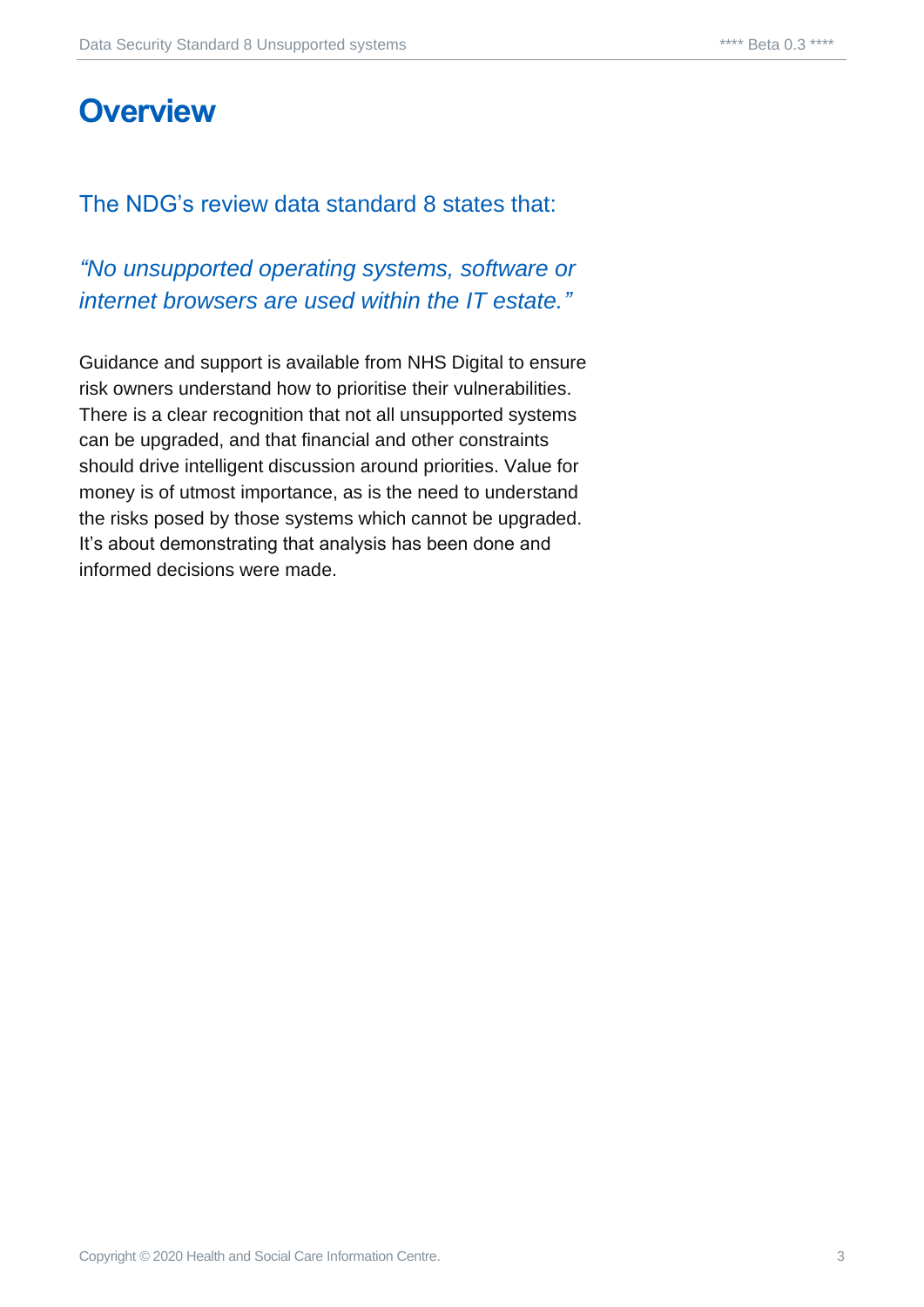# <span id="page-2-0"></span>**Overview**

#### The NDG's review data standard 8 states that:

#### *"No unsupported operating systems, software or internet browsers are used within the IT estate."*

Guidance and support is available from NHS Digital to ensure risk owners understand how to prioritise their vulnerabilities. There is a clear recognition that not all unsupported systems can be upgraded, and that financial and other constraints should drive intelligent discussion around priorities. Value for money is of utmost importance, as is the need to understand the risks posed by those systems which cannot be upgraded. It's about demonstrating that analysis has been done and informed decisions were made.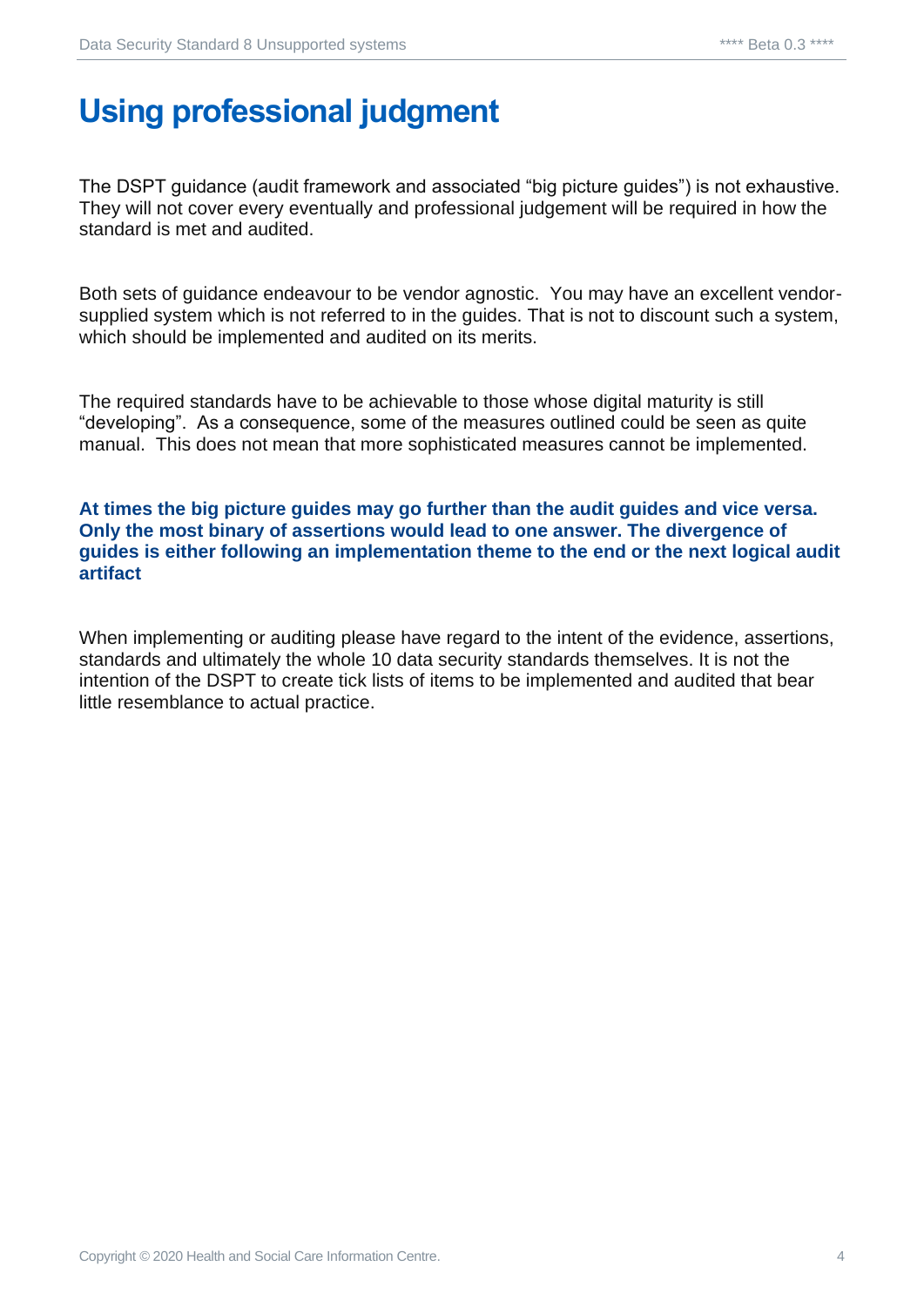# <span id="page-3-0"></span>**Using professional judgment**

The DSPT guidance (audit framework and associated "big picture guides") is not exhaustive. They will not cover every eventually and professional judgement will be required in how the standard is met and audited.

Both sets of guidance endeavour to be vendor agnostic. You may have an excellent vendorsupplied system which is not referred to in the guides. That is not to discount such a system, which should be implemented and audited on its merits.

The required standards have to be achievable to those whose digital maturity is still "developing". As a consequence, some of the measures outlined could be seen as quite manual. This does not mean that more sophisticated measures cannot be implemented.

#### **At times the big picture guides may go further than the audit guides and vice versa. Only the most binary of assertions would lead to one answer. The divergence of guides is either following an implementation theme to the end or the next logical audit artifact**

When implementing or auditing please have regard to the intent of the evidence, assertions, standards and ultimately the whole 10 data security standards themselves. It is not the intention of the DSPT to create tick lists of items to be implemented and audited that bear little resemblance to actual practice.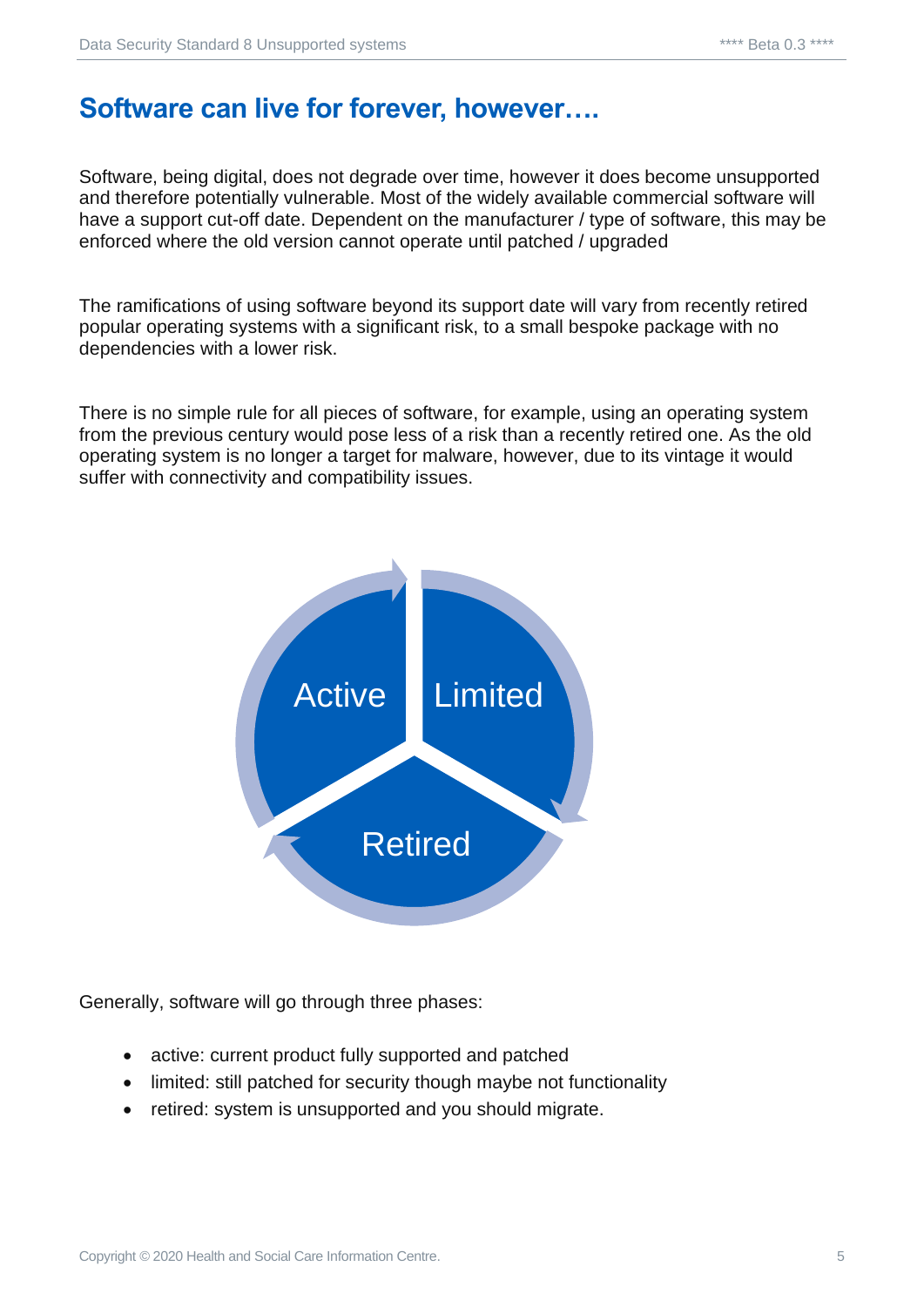#### <span id="page-4-0"></span>**Software can live for forever, however….**

Software, being digital, does not degrade over time, however it does become unsupported and therefore potentially vulnerable. Most of the widely available commercial software will have a support cut-off date. Dependent on the manufacturer / type of software, this may be enforced where the old version cannot operate until patched / upgraded

The ramifications of using software beyond its support date will vary from recently retired popular operating systems with a significant risk, to a small bespoke package with no dependencies with a lower risk.

There is no simple rule for all pieces of software, for example, using an operating system from the previous century would pose less of a risk than a recently retired one. As the old operating system is no longer a target for malware, however, due to its vintage it would suffer with connectivity and compatibility issues.



Generally, software will go through three phases:

- active: current product fully supported and patched
- limited: still patched for security though maybe not functionality
- retired: system is unsupported and you should migrate.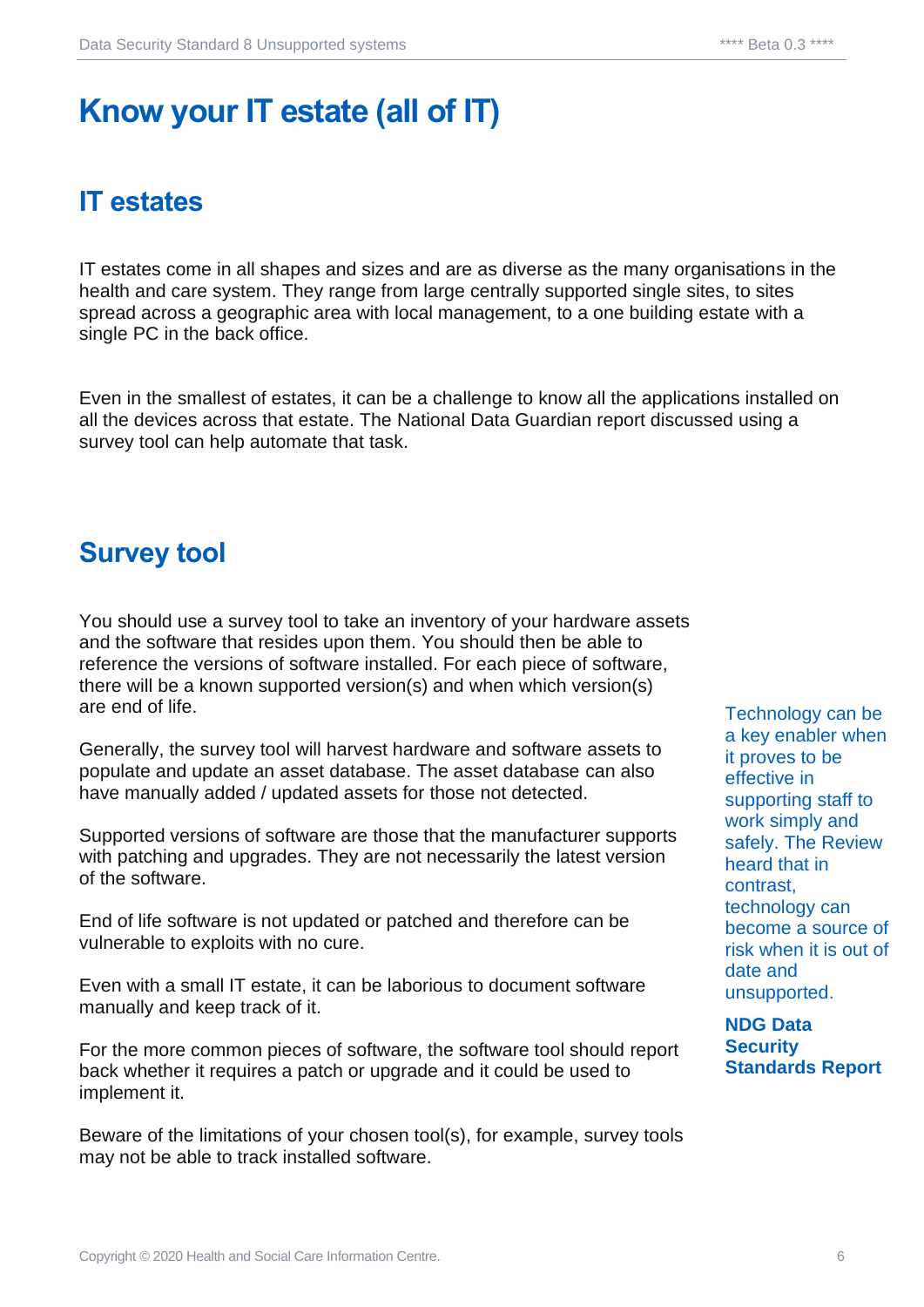# <span id="page-5-0"></span>**Know your IT estate (all of IT)**

# <span id="page-5-1"></span>**IT estates**

IT estates come in all shapes and sizes and are as diverse as the many organisations in the health and care system. They range from large centrally supported single sites, to sites spread across a geographic area with local management, to a one building estate with a single PC in the back office.

Even in the smallest of estates, it can be a challenge to know all the applications installed on all the devices across that estate. The National Data Guardian report discussed using a survey tool can help automate that task.

#### <span id="page-5-2"></span>**Survey tool**

You should use a survey tool to take an inventory of your hardware assets and the software that resides upon them. You should then be able to reference the versions of software installed. For each piece of software, there will be a known supported version(s) and when which version(s) are end of life.

Generally, the survey tool will harvest hardware and software assets to populate and update an asset database. The asset database can also have manually added / updated assets for those not detected.

Supported versions of software are those that the manufacturer supports with patching and upgrades. They are not necessarily the latest version of the software.

End of life software is not updated or patched and therefore can be vulnerable to exploits with no cure.

Even with a small IT estate, it can be laborious to document software manually and keep track of it.

For the more common pieces of software, the software tool should report back whether it requires a patch or upgrade and it could be used to implement it.

Beware of the limitations of your chosen tool(s), for example, survey tools may not be able to track installed software.

Technology can be a key enabler when it proves to be effective in supporting staff to work simply and safely. The Review heard that in contrast, technology can become a source of risk when it is out of date and unsupported.

**NDG Data Security Standards Report**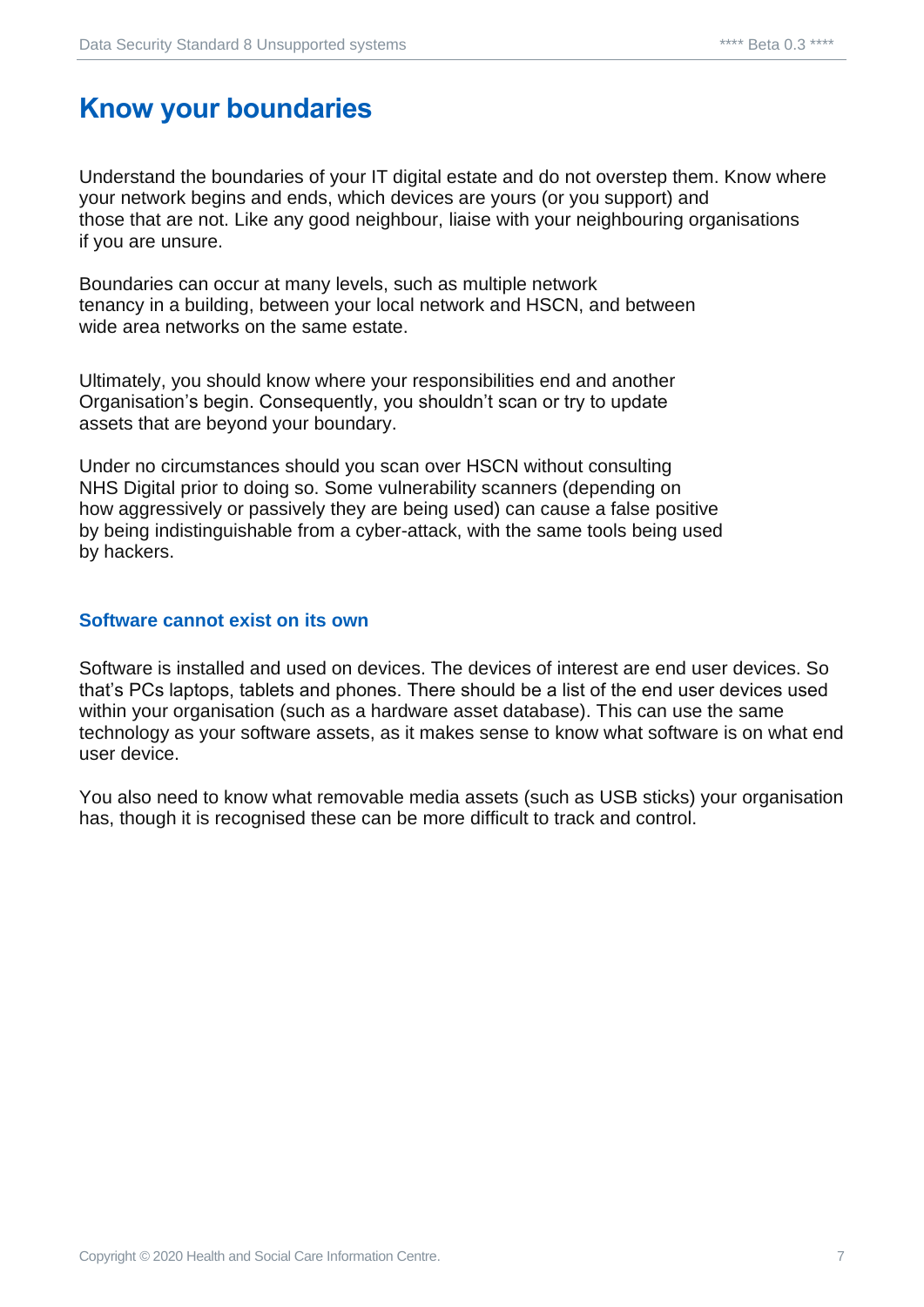#### <span id="page-6-0"></span>**Know your boundaries**

Understand the boundaries of your IT digital estate and do not overstep them. Know where your network begins and ends, which devices are yours (or you support) and those that are not. Like any good neighbour, liaise with your neighbouring organisations if you are unsure.

Boundaries can occur at many levels, such as multiple network tenancy in a building, between your local network and HSCN, and between wide area networks on the same estate.

Ultimately, you should know where your responsibilities end and another Organisation's begin. Consequently, you shouldn't scan or try to update assets that are beyond your boundary.

Under no circumstances should you scan over HSCN without consulting NHS Digital prior to doing so. Some vulnerability scanners (depending on how aggressively or passively they are being used) can cause a false positive by being indistinguishable from a cyber-attack, with the same tools being used by hackers.

#### <span id="page-6-1"></span>**Software cannot exist on its own**

Software is installed and used on devices. The devices of interest are end user devices. So that's PCs laptops, tablets and phones. There should be a list of the end user devices used within your organisation (such as a hardware asset database). This can use the same technology as your software assets, as it makes sense to know what software is on what end user device.

You also need to know what removable media assets (such as USB sticks) your organisation has, though it is recognised these can be more difficult to track and control.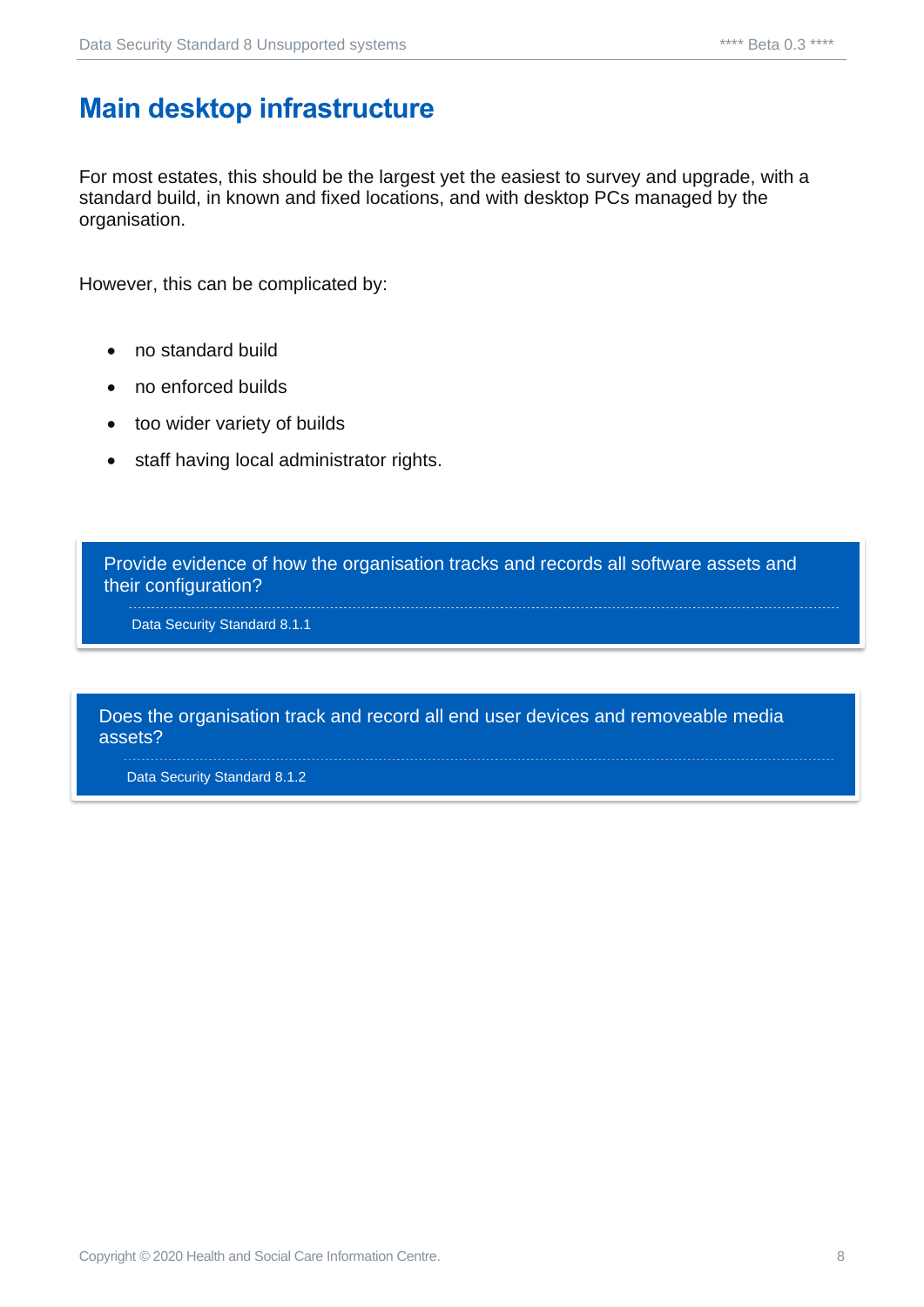#### <span id="page-7-0"></span>**Main desktop infrastructure**

For most estates, this should be the largest yet the easiest to survey and upgrade, with a standard build, in known and fixed locations, and with desktop PCs managed by the organisation.

However, this can be complicated by:

- no standard build
- no enforced builds
- too wider variety of builds
- staff having local administrator rights.

Provide evidence of how the organisation tracks and records all software assets and their configuration?

Data Security Standard 8.1.1

Does the organisation track and record all end user devices and removeable media assets?

Data Security Standard 8.1.2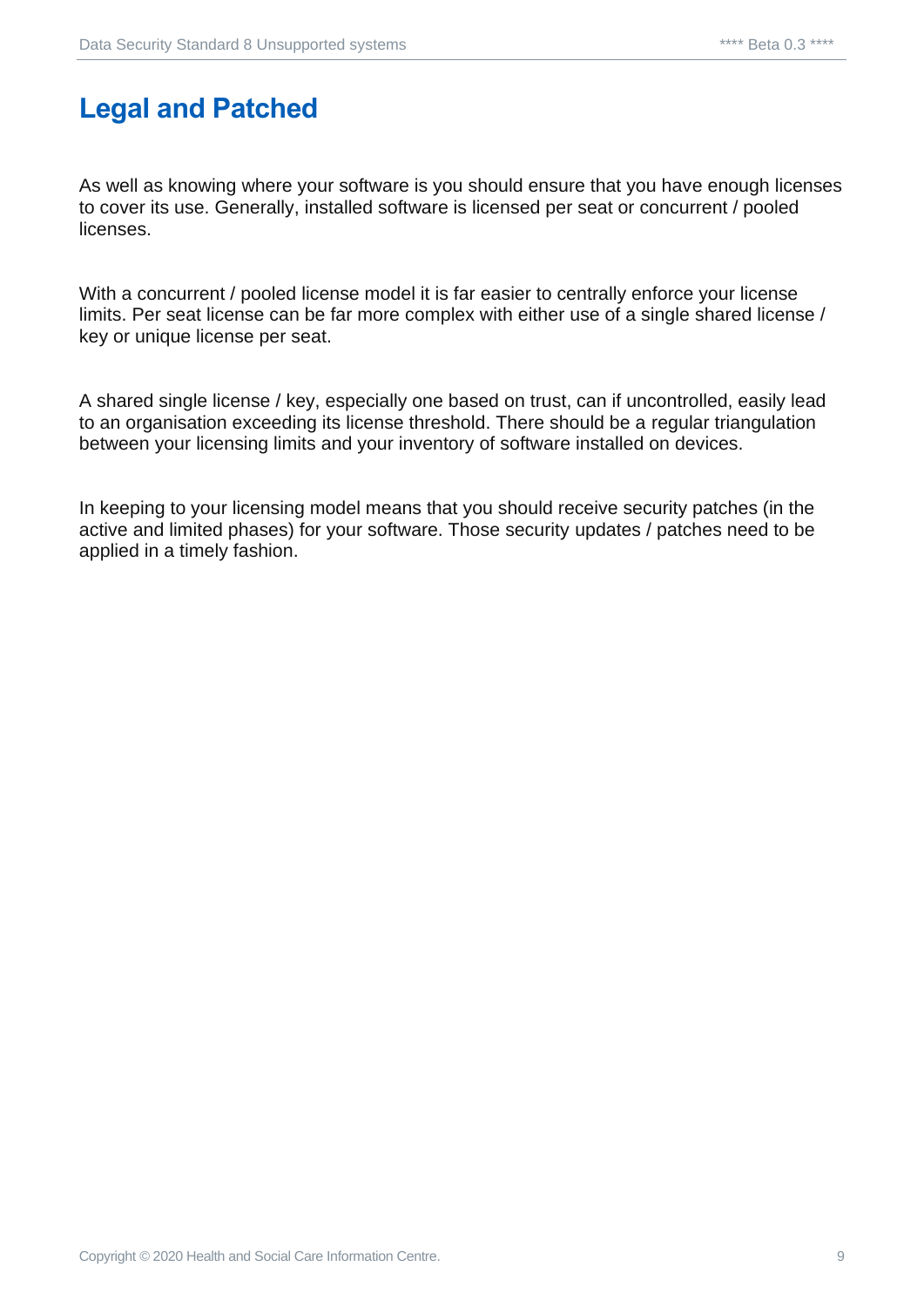## <span id="page-8-0"></span>**Legal and Patched**

As well as knowing where your software is you should ensure that you have enough licenses to cover its use. Generally, installed software is licensed per seat or concurrent / pooled licenses.

With a concurrent / pooled license model it is far easier to centrally enforce your license limits. Per seat license can be far more complex with either use of a single shared license / key or unique license per seat.

A shared single license / key, especially one based on trust, can if uncontrolled, easily lead to an organisation exceeding its license threshold. There should be a regular triangulation between your licensing limits and your inventory of software installed on devices.

In keeping to your licensing model means that you should receive security patches (in the active and limited phases) for your software. Those security updates / patches need to be applied in a timely fashion.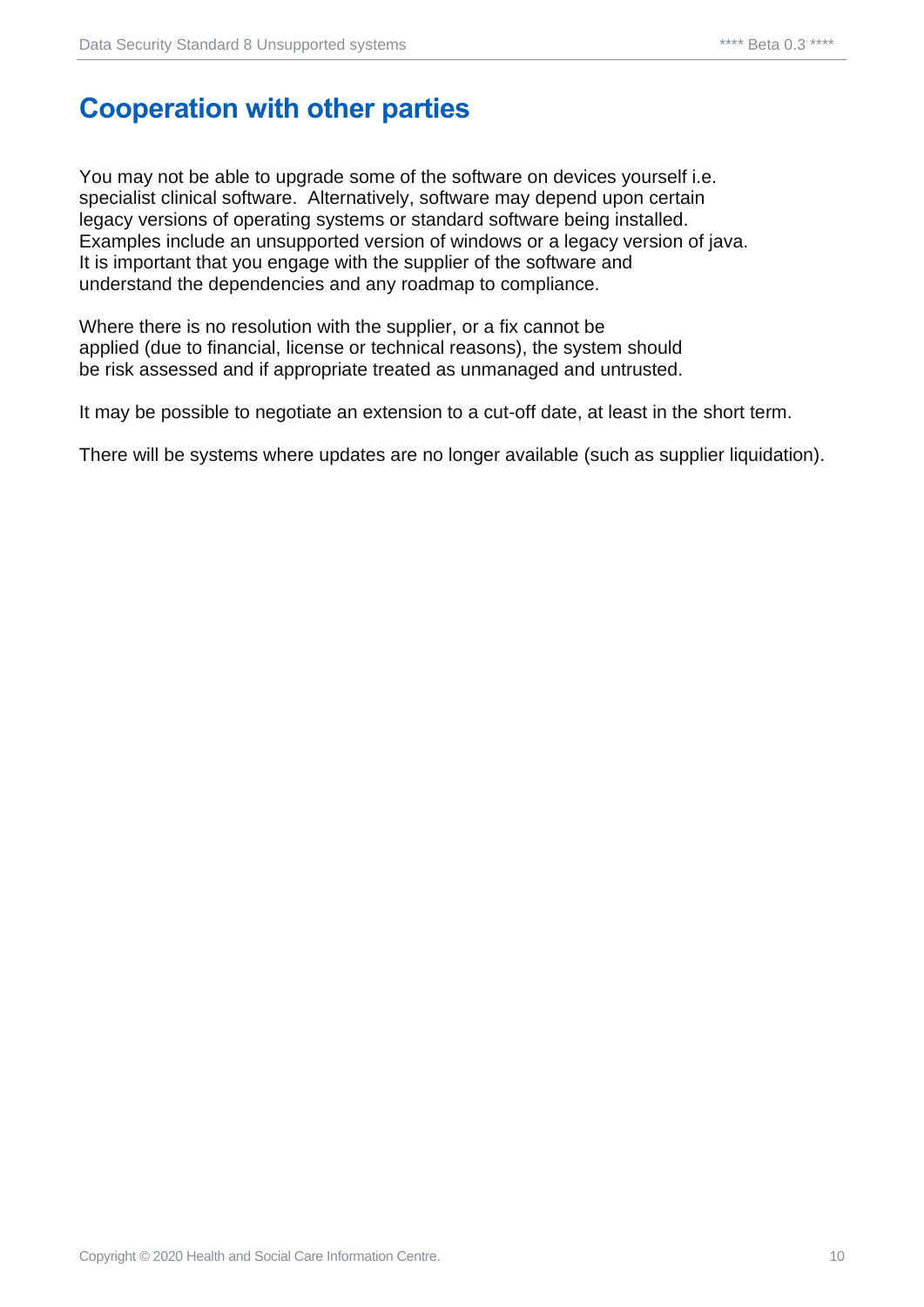#### <span id="page-9-0"></span>**Cooperation with other parties**

You may not be able to upgrade some of the software on devices yourself i.e. specialist clinical software. Alternatively, software may depend upon certain legacy versions of operating systems or standard software being installed. Examples include an unsupported version of windows or a legacy version of java. It is important that you engage with the supplier of the software and understand the dependencies and any roadmap to compliance.

Where there is no resolution with the supplier, or a fix cannot be applied (due to financial, license or technical reasons), the system should be risk assessed and if appropriate treated as unmanaged and untrusted.

It may be possible to negotiate an extension to a cut-off date, at least in the short term.

There will be systems where updates are no longer available (such as supplier liquidation).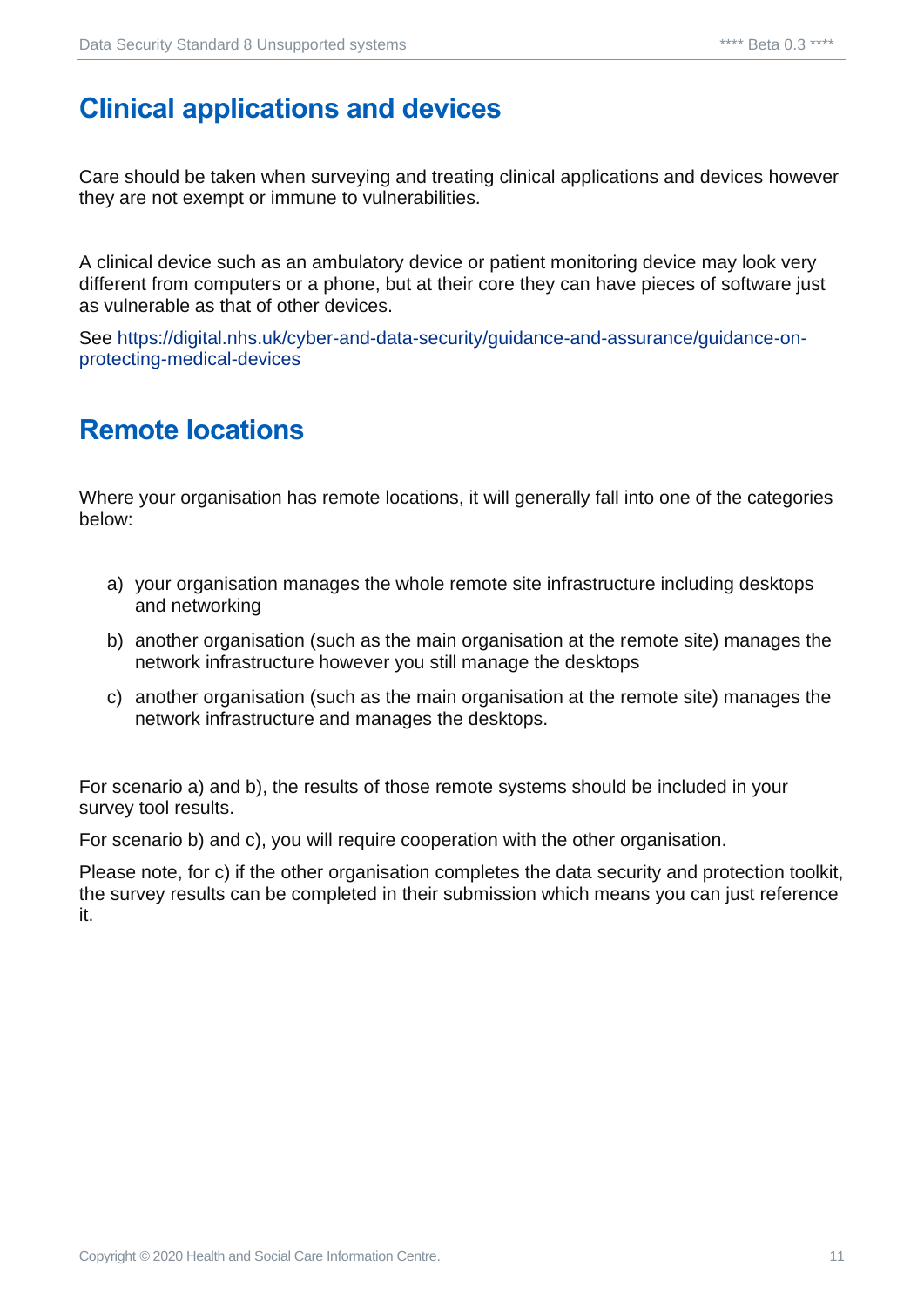# <span id="page-10-0"></span>**Clinical applications and devices**

Care should be taken when surveying and treating clinical applications and devices however they are not exempt or immune to vulnerabilities.

A clinical device such as an ambulatory device or patient monitoring device may look very different from computers or a phone, but at their core they can have pieces of software just as vulnerable as that of other devices.

See [https://digital.nhs.uk/cyber-and-data-security/guidance-and-assurance/guidance-on](https://digital.nhs.uk/cyber-and-data-security/guidance-and-assurance/guidance-on-protecting-medical-devices)[protecting-medical-devices](https://digital.nhs.uk/cyber-and-data-security/guidance-and-assurance/guidance-on-protecting-medical-devices)

#### <span id="page-10-1"></span>**Remote locations**

Where your organisation has remote locations, it will generally fall into one of the categories below:

- a) your organisation manages the whole remote site infrastructure including desktops and networking
- b) another organisation (such as the main organisation at the remote site) manages the network infrastructure however you still manage the desktops
- c) another organisation (such as the main organisation at the remote site) manages the network infrastructure and manages the desktops.

For scenario a) and b), the results of those remote systems should be included in your survey tool results.

For scenario b) and c), you will require cooperation with the other organisation.

Please note, for c) if the other organisation completes the data security and protection toolkit, the survey results can be completed in their submission which means you can just reference it.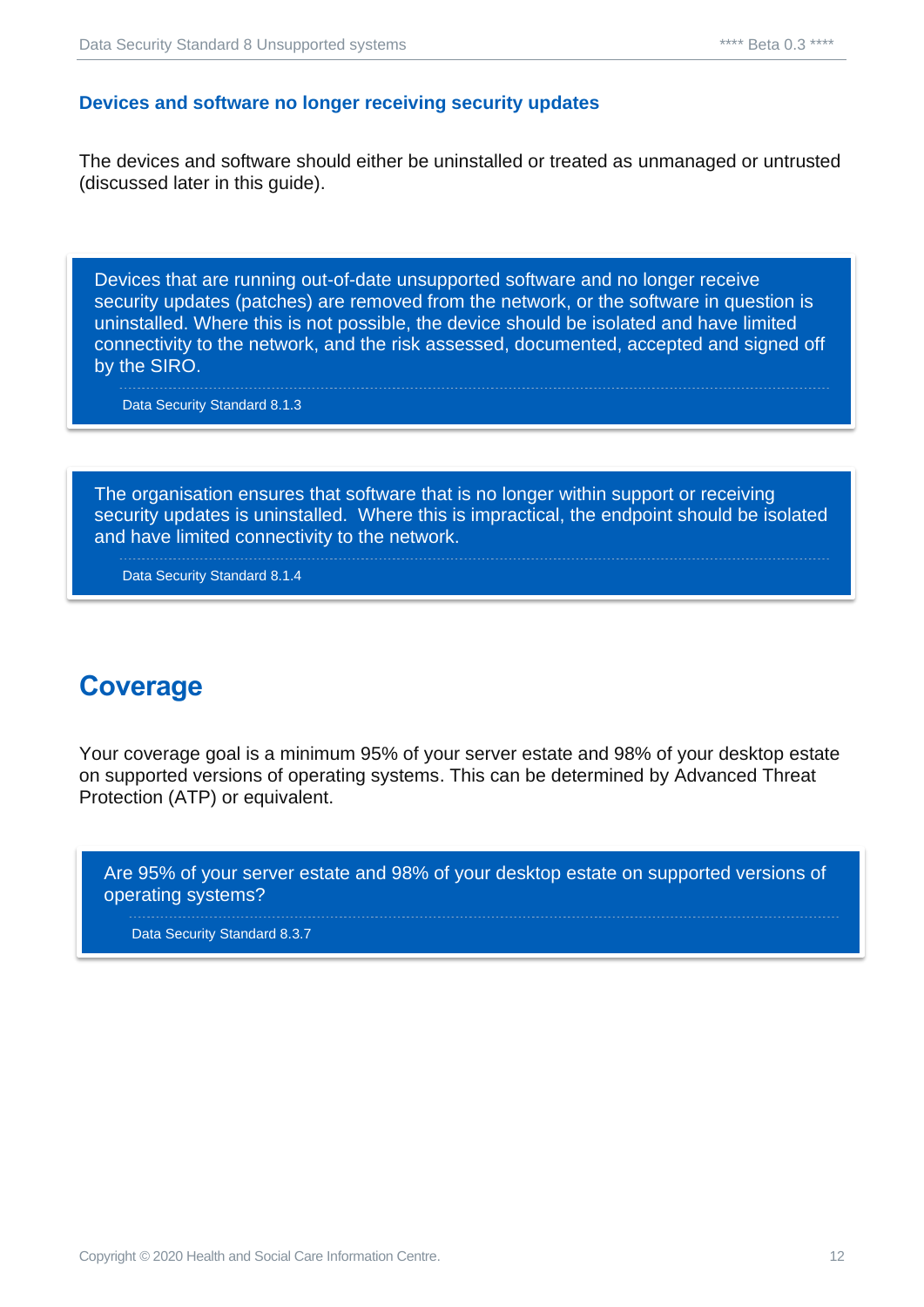#### <span id="page-11-0"></span>**Devices and software no longer receiving security updates**

The devices and software should either be uninstalled or treated as unmanaged or untrusted (discussed later in this guide).

Devices that are running out-of-date unsupported software and no longer receive security updates (patches) are removed from the network, or the software in question is uninstalled. Where this is not possible, the device should be isolated and have limited connectivity to the network, and the risk assessed, documented, accepted and signed off by the SIRO.

Data Security Standard 8.1.3

The organisation ensures that software that is no longer within support or receiving security updates is uninstalled. Where this is impractical, the endpoint should be isolated and have limited connectivity to the network.

Data Security Standard 8.1.4

#### <span id="page-11-1"></span>**Coverage**

Your coverage goal is a minimum 95% of your server estate and 98% of your desktop estate on supported versions of operating systems. This can be determined by Advanced Threat Protection (ATP) or equivalent.

Are 95% of your server estate and 98% of your desktop estate on supported versions of operating systems?

Data Security Standard 8.3.7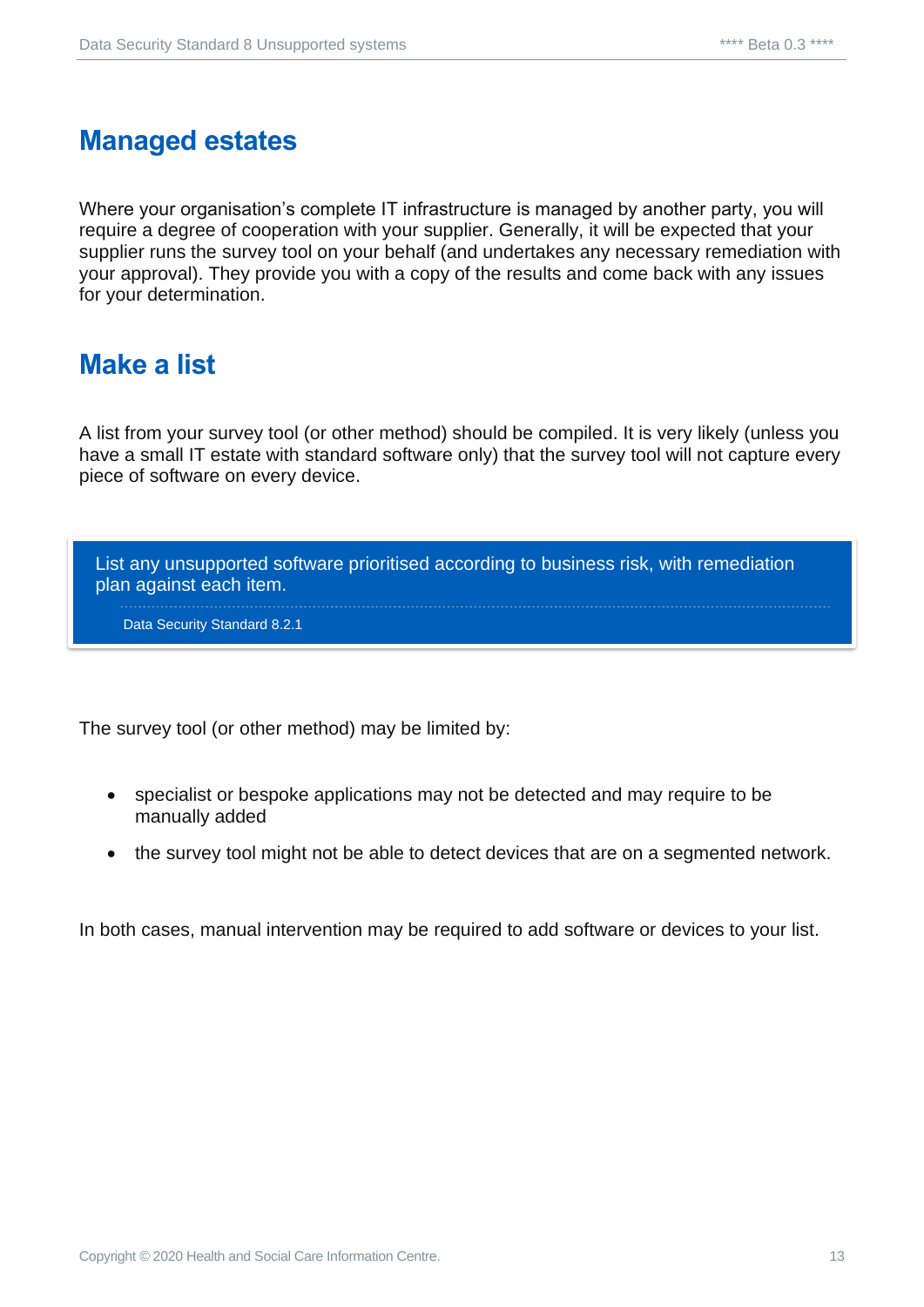#### <span id="page-12-0"></span>**Managed estates**

Where your organisation's complete IT infrastructure is managed by another party, you will require a degree of cooperation with your supplier. Generally, it will be expected that your supplier runs the survey tool on your behalf (and undertakes any necessary remediation with your approval). They provide you with a copy of the results and come back with any issues for your determination.

#### <span id="page-12-1"></span>**Make a list**

A list from your survey tool (or other method) should be compiled. It is very likely (unless you have a small IT estate with standard software only) that the survey tool will not capture every piece of software on every device.

List any unsupported software prioritised according to business risk, with remediation plan against each item.

Data Security Standard 8.2.1

The survey tool (or other method) may be limited by:

- specialist or bespoke applications may not be detected and may require to be manually added
- the survey tool might not be able to detect devices that are on a segmented network.

In both cases, manual intervention may be required to add software or devices to your list.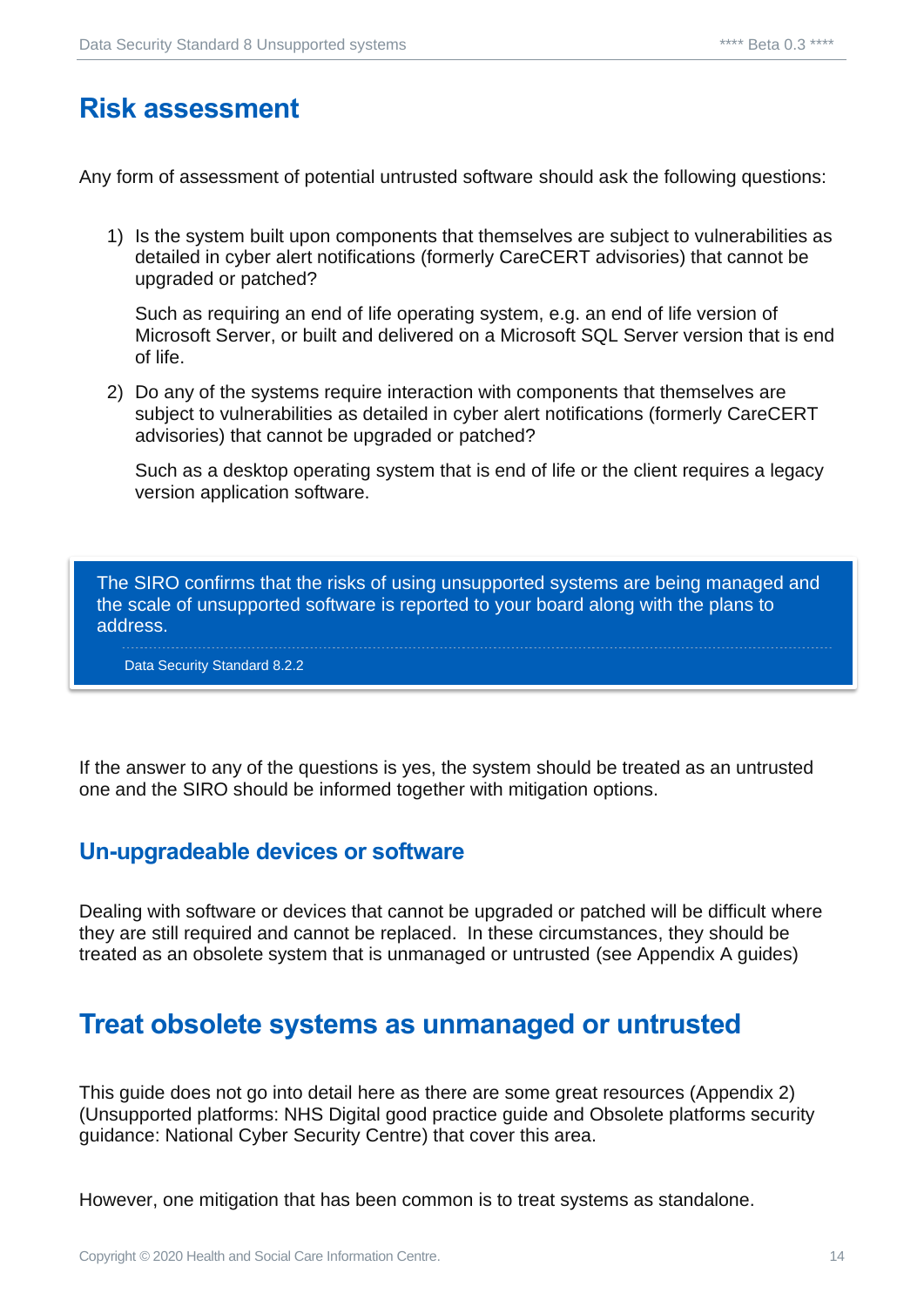#### <span id="page-13-0"></span>**Risk assessment**

Any form of assessment of potential untrusted software should ask the following questions:

1) Is the system built upon components that themselves are subject to vulnerabilities as detailed in cyber alert notifications (formerly CareCERT advisories) that cannot be upgraded or patched?

Such as requiring an end of life operating system, e.g. an end of life version of Microsoft Server, or built and delivered on a Microsoft SQL Server version that is end of life.

2) Do any of the systems require interaction with components that themselves are subject to vulnerabilities as detailed in cyber alert notifications (formerly CareCERT advisories) that cannot be upgraded or patched?

Such as a desktop operating system that is end of life or the client requires a legacy version application software.

The SIRO confirms that the risks of using unsupported systems are being managed and the scale of unsupported software is reported to your board along with the plans to address.

Data Security Standard 8.2.2

If the answer to any of the questions is yes, the system should be treated as an untrusted one and the SIRO should be informed together with mitigation options.

#### <span id="page-13-1"></span>**Un-upgradeable devices or software**

Dealing with software or devices that cannot be upgraded or patched will be difficult where they are still required and cannot be replaced. In these circumstances, they should be treated as an obsolete system that is unmanaged or untrusted (see Appendix A guides)

#### <span id="page-13-2"></span>**Treat obsolete systems as unmanaged or untrusted**

This guide does not go into detail here as there are some great resources (Appendix 2) (Unsupported platforms: NHS Digital good practice guide and Obsolete platforms security guidance: National Cyber Security Centre) that cover this area.

However, one mitigation that has been common is to treat systems as standalone.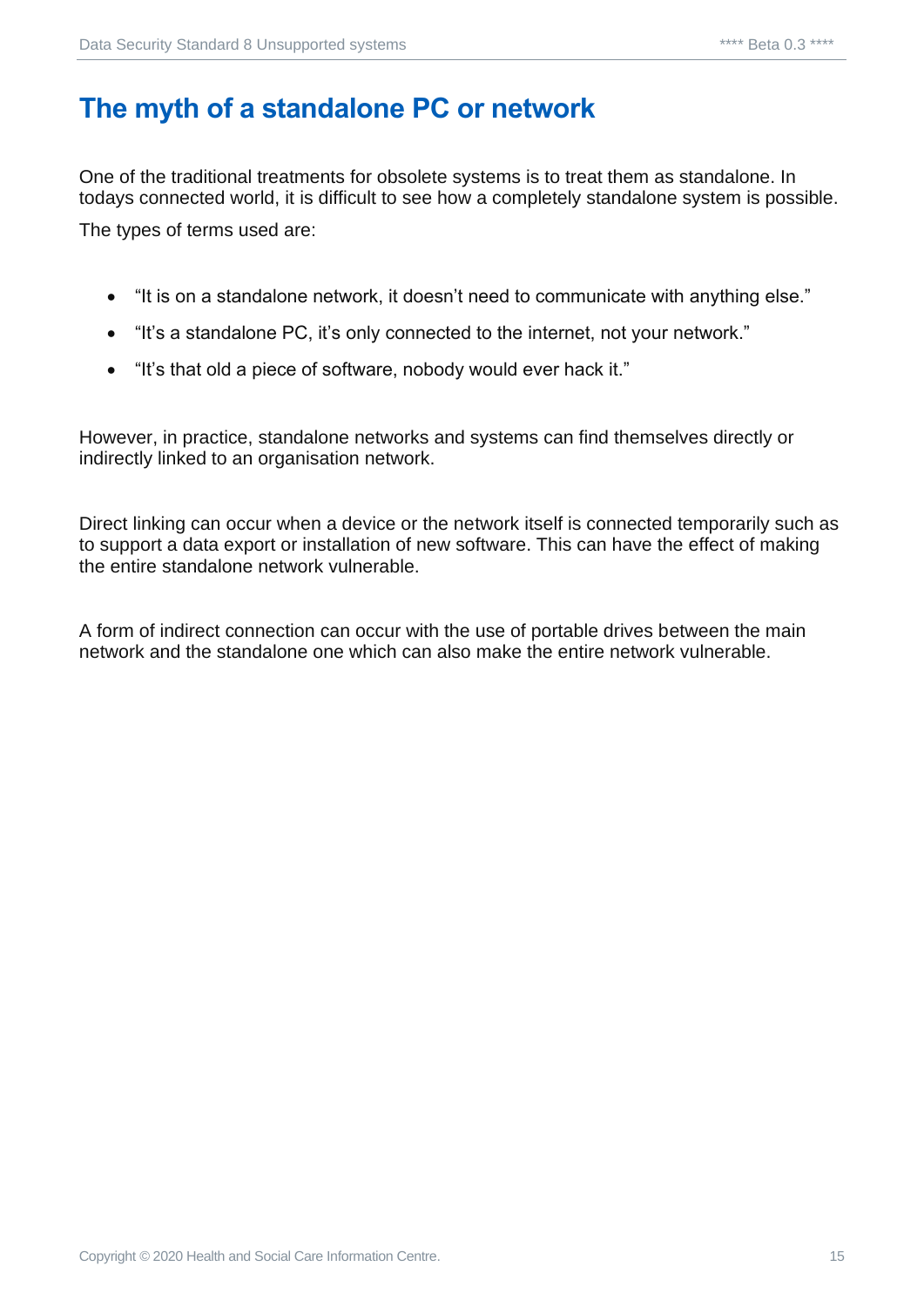# <span id="page-14-0"></span>**The myth of a standalone PC or network**

One of the traditional treatments for obsolete systems is to treat them as standalone. In todays connected world, it is difficult to see how a completely standalone system is possible. The types of terms used are:

- "It is on a standalone network, it doesn't need to communicate with anything else."
- "It's a standalone PC, it's only connected to the internet, not your network."
- "It's that old a piece of software, nobody would ever hack it."

However, in practice, standalone networks and systems can find themselves directly or indirectly linked to an organisation network.

Direct linking can occur when a device or the network itself is connected temporarily such as to support a data export or installation of new software. This can have the effect of making the entire standalone network vulnerable.

A form of indirect connection can occur with the use of portable drives between the main network and the standalone one which can also make the entire network vulnerable.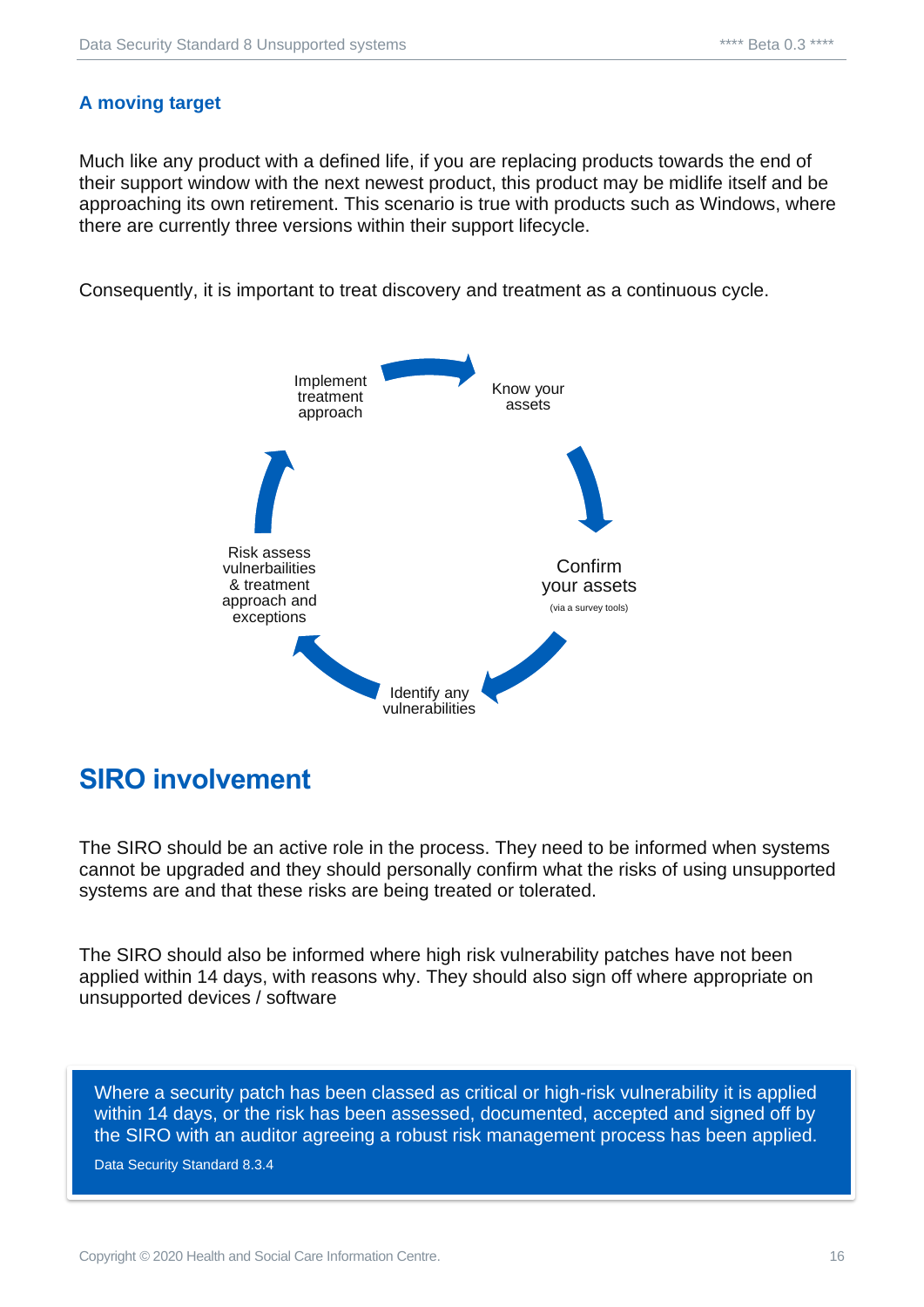#### <span id="page-15-0"></span>**A moving target**

Much like any product with a defined life, if you are replacing products towards the end of their support window with the next newest product, this product may be midlife itself and be approaching its own retirement. This scenario is true with products such as Windows, where there are currently three versions within their support lifecycle.

Consequently, it is important to treat discovery and treatment as a continuous cycle.



#### <span id="page-15-1"></span>**SIRO involvement**

The SIRO should be an active role in the process. They need to be informed when systems cannot be upgraded and they should personally confirm what the risks of using unsupported systems are and that these risks are being treated or tolerated.

The SIRO should also be informed where high risk vulnerability patches have not been applied within 14 days, with reasons why. They should also sign off where appropriate on unsupported devices / software

Where a security patch has been classed as critical or high-risk vulnerability it is applied within 14 days, or the risk has been assessed, documented, accepted and signed off by the SIRO with an auditor agreeing a robust risk management process has been applied.

Data Security Standard 8.3.4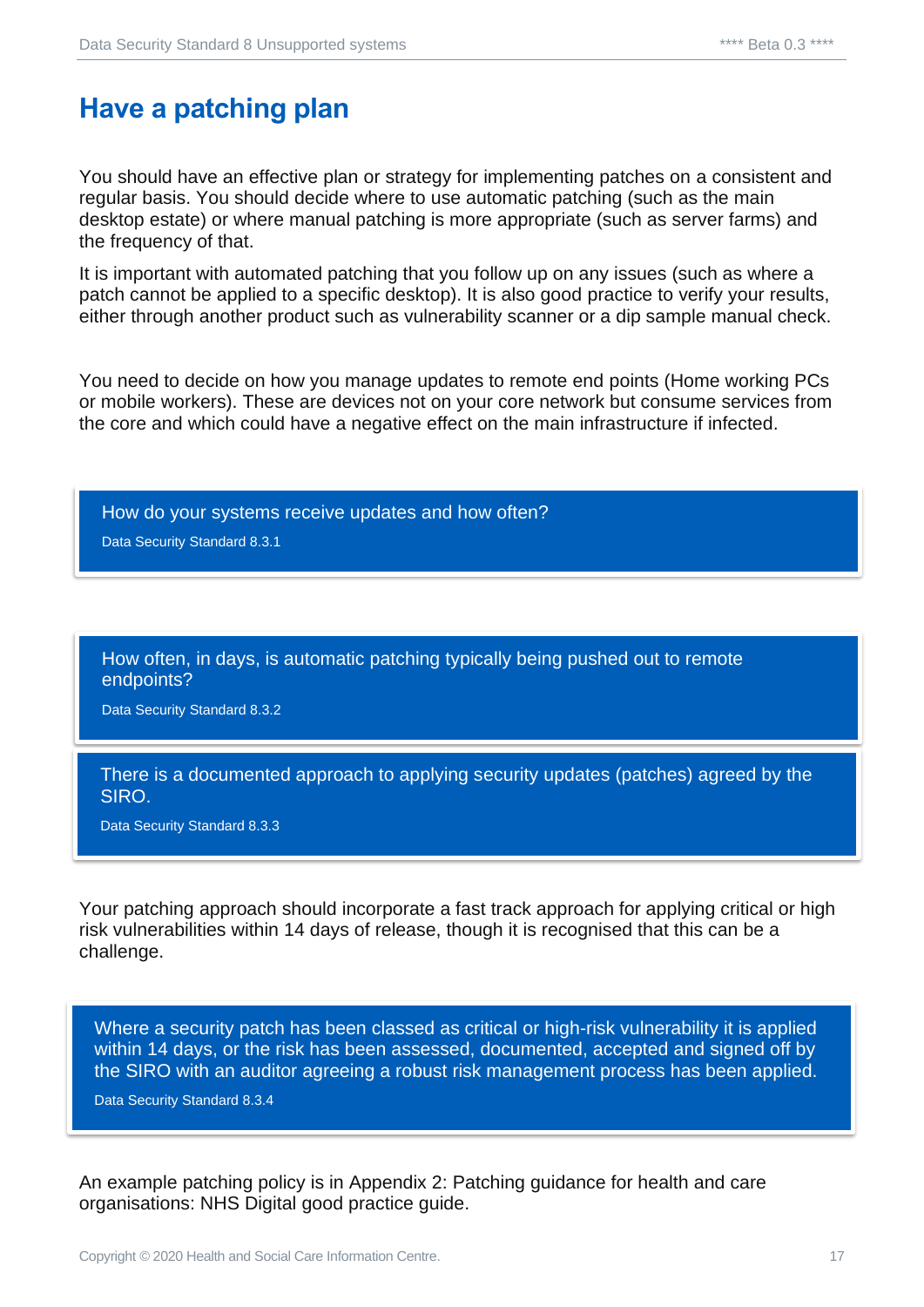#### <span id="page-16-0"></span>**Have a patching plan**

You should have an effective plan or strategy for implementing patches on a consistent and regular basis. You should decide where to use automatic patching (such as the main desktop estate) or where manual patching is more appropriate (such as server farms) and the frequency of that.

It is important with automated patching that you follow up on any issues (such as where a patch cannot be applied to a specific desktop). It is also good practice to verify your results, either through another product such as vulnerability scanner or a dip sample manual check.

You need to decide on how you manage updates to remote end points (Home working PCs or mobile workers). These are devices not on your core network but consume services from the core and which could have a negative effect on the main infrastructure if infected.

How do your systems receive updates and how often?

Data Security Standard 8.3.1

How often, in days, is automatic patching typically being pushed out to remote endpoints?

Data Security Standard 8.3.2

There is a documented approach to applying security updates (patches) agreed by the SIRO.

Data Security Standard 8.3.3

Your patching approach should incorporate a fast track approach for applying critical or high risk vulnerabilities within 14 days of release, though it is recognised that this can be a challenge.

Where a security patch has been classed as critical or high-risk vulnerability it is applied within 14 days, or the risk has been assessed, documented, accepted and signed off by the SIRO with an auditor agreeing a robust risk management process has been applied.

Data Security Standard 8.3.4

An example patching policy is in Appendix 2: Patching guidance for health and care organisations: NHS Digital good practice guide.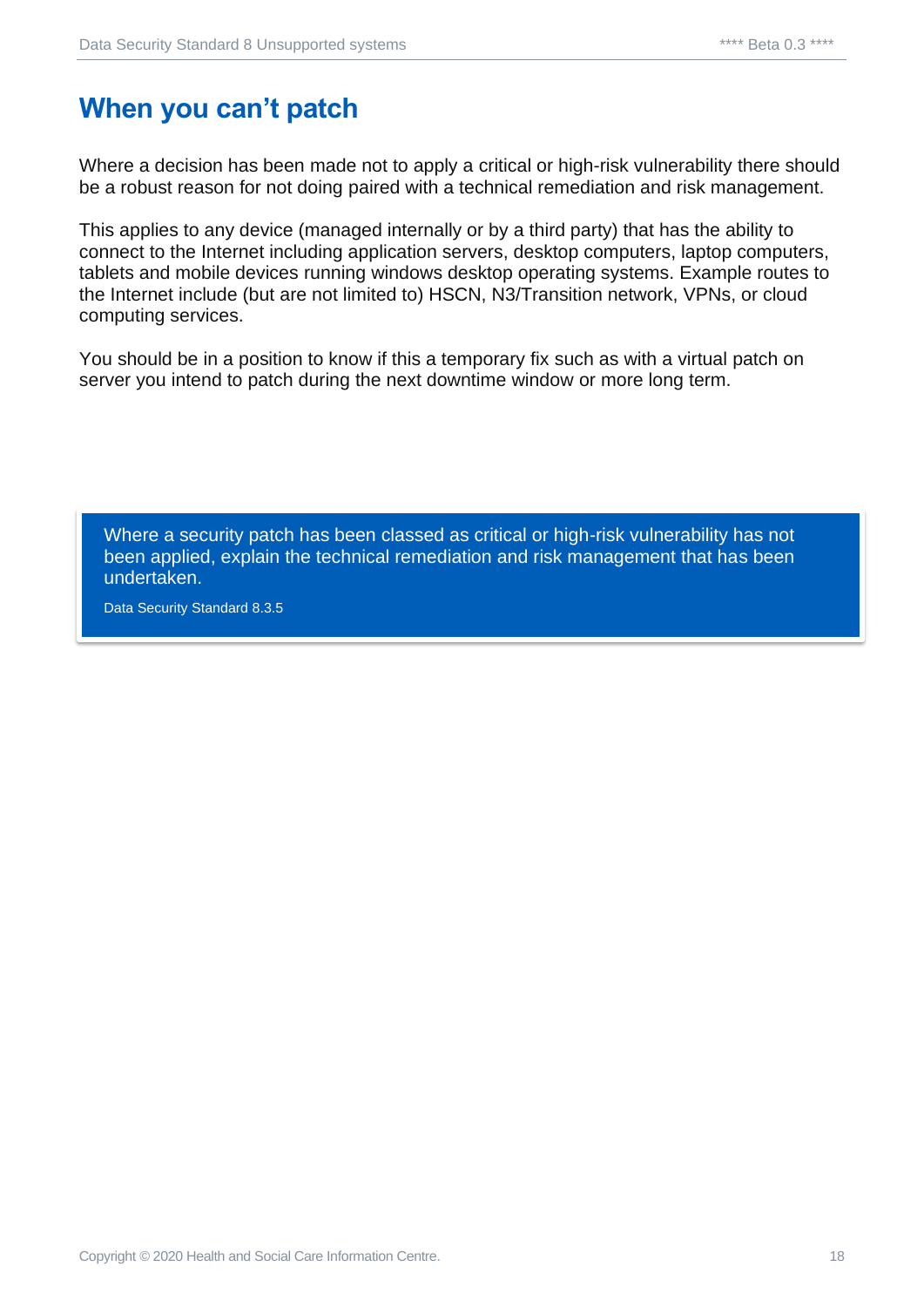# <span id="page-17-0"></span>**When you can't patch**

Where a decision has been made not to apply a critical or high-risk vulnerability there should be a robust reason for not doing paired with a technical remediation and risk management.

This applies to any device (managed internally or by a third party) that has the ability to connect to the Internet including application servers, desktop computers, laptop computers, tablets and mobile devices running windows desktop operating systems. Example routes to the Internet include (but are not limited to) HSCN, N3/Transition network, VPNs, or cloud computing services.

You should be in a position to know if this a temporary fix such as with a virtual patch on server you intend to patch during the next downtime window or more long term.

Where a security patch has been classed as critical or high-risk vulnerability has not been applied, explain the technical remediation and risk management that has been undertaken.

Data Security Standard 8.3.5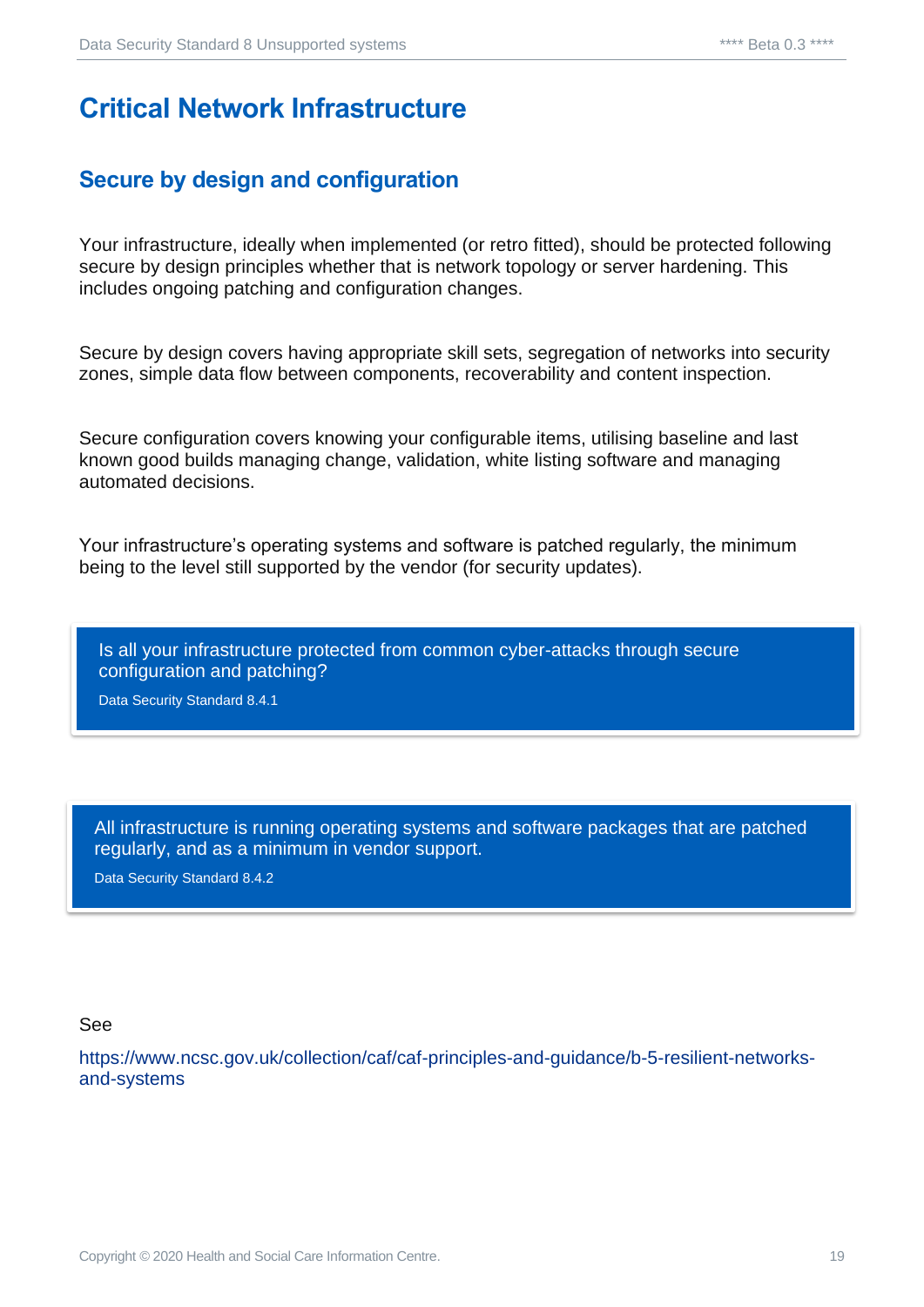#### <span id="page-18-0"></span>**Critical Network Infrastructure**

#### <span id="page-18-1"></span>**Secure by design and configuration**

Your infrastructure, ideally when implemented (or retro fitted), should be protected following secure by design principles whether that is network topology or server hardening. This includes ongoing patching and configuration changes.

Secure by design covers having appropriate skill sets, segregation of networks into security zones, simple data flow between components, recoverability and content inspection.

Secure configuration covers knowing your configurable items, utilising baseline and last known good builds managing change, validation, white listing software and managing automated decisions.

Your infrastructure's operating systems and software is patched regularly, the minimum being to the level still supported by the vendor (for security updates).

Is all your infrastructure protected from common cyber-attacks through secure configuration and patching?

Data Security Standard 8.4.1

All infrastructure is running operating systems and software packages that are patched regularly, and as a minimum in vendor support.

Data Security Standard 8.4.2

See

[https://www.ncsc.gov.uk/collection/caf/caf-principles-and-guidance/b-5-resilient-networks](https://www.ncsc.gov.uk/collection/caf/caf-principles-and-guidance/b-5-resilient-networks-and-systems)[and-systems](https://www.ncsc.gov.uk/collection/caf/caf-principles-and-guidance/b-5-resilient-networks-and-systems)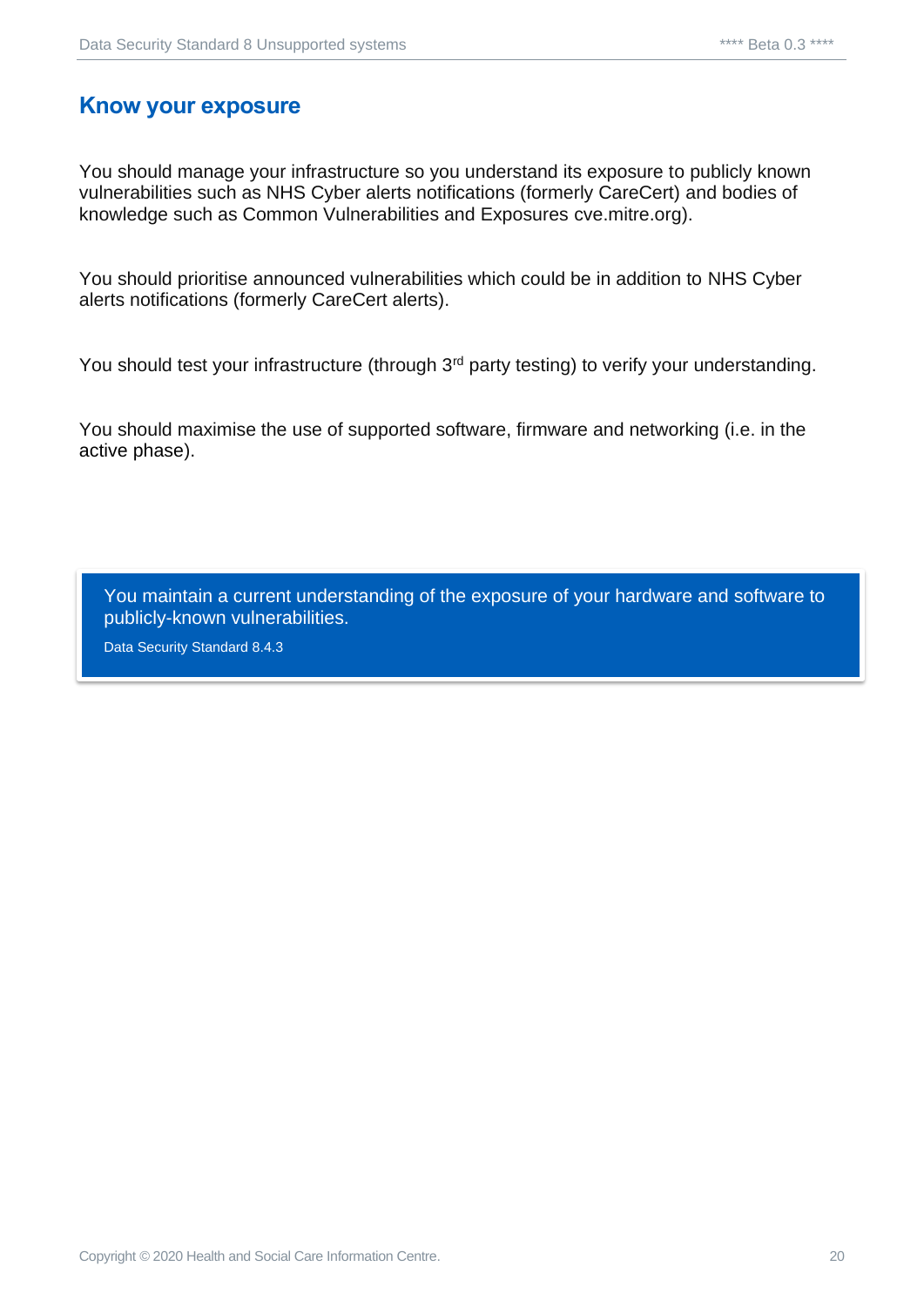#### <span id="page-19-0"></span>**Know your exposure**

You should manage your infrastructure so you understand its exposure to publicly known vulnerabilities such as NHS Cyber alerts notifications (formerly CareCert) and bodies of knowledge such as Common Vulnerabilities and Exposures cve.mitre.org).

You should prioritise announced vulnerabilities which could be in addition to NHS Cyber alerts notifications (formerly CareCert alerts).

You should test your infrastructure (through 3<sup>rd</sup> party testing) to verify your understanding.

You should maximise the use of supported software, firmware and networking (i.e. in the [active phase\)](#page-3-0).

You maintain a current understanding of the exposure of your hardware and software to publicly-known vulnerabilities.

Data Security Standard 8.4.3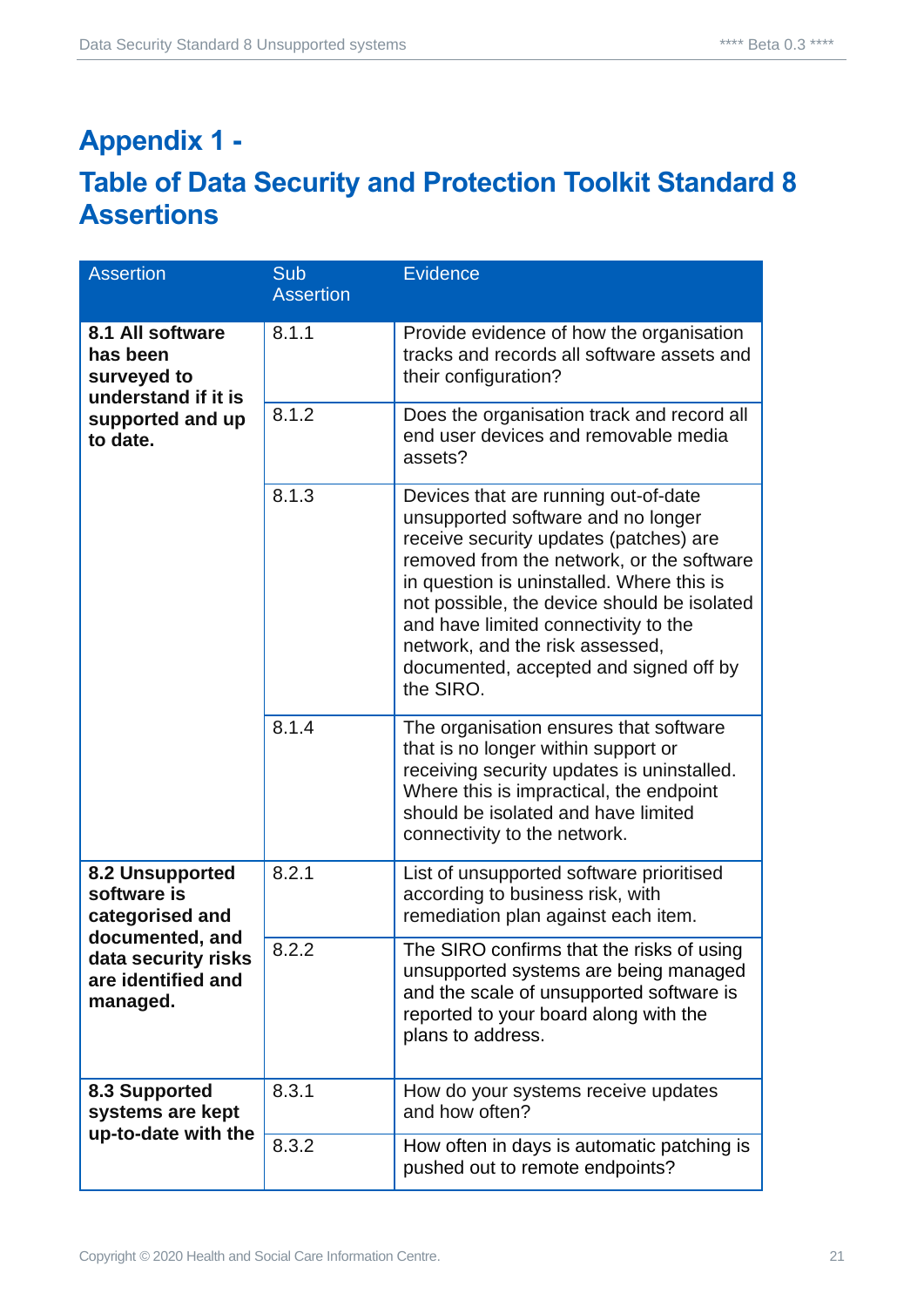# <span id="page-20-0"></span>**Appendix 1 -**

#### <span id="page-20-1"></span>**Table of Data Security and Protection Toolkit Standard 8 Assertions**

| <b>Assertion</b>                                                                                                              | <b>Sub</b><br><b>Assertion</b> | <b>Evidence</b>                                                                                                                                                                                                                                                                                                                                                                                 |
|-------------------------------------------------------------------------------------------------------------------------------|--------------------------------|-------------------------------------------------------------------------------------------------------------------------------------------------------------------------------------------------------------------------------------------------------------------------------------------------------------------------------------------------------------------------------------------------|
| 8.1 All software<br>has been<br>surveyed to<br>understand if it is<br>supported and up<br>to date.                            | 8.1.1                          | Provide evidence of how the organisation<br>tracks and records all software assets and<br>their configuration?                                                                                                                                                                                                                                                                                  |
|                                                                                                                               | 8.1.2                          | Does the organisation track and record all<br>end user devices and removable media<br>assets?                                                                                                                                                                                                                                                                                                   |
|                                                                                                                               | 8.1.3                          | Devices that are running out-of-date<br>unsupported software and no longer<br>receive security updates (patches) are<br>removed from the network, or the software<br>in question is uninstalled. Where this is<br>not possible, the device should be isolated<br>and have limited connectivity to the<br>network, and the risk assessed,<br>documented, accepted and signed off by<br>the SIRO. |
|                                                                                                                               | 8.1.4                          | The organisation ensures that software<br>that is no longer within support or<br>receiving security updates is uninstalled.<br>Where this is impractical, the endpoint<br>should be isolated and have limited<br>connectivity to the network.                                                                                                                                                   |
| 8.2 Unsupported<br>software is<br>categorised and<br>documented, and<br>data security risks<br>are identified and<br>managed. | 8.2.1                          | List of unsupported software prioritised<br>according to business risk, with<br>remediation plan against each item.                                                                                                                                                                                                                                                                             |
|                                                                                                                               | 8.2.2                          | The SIRO confirms that the risks of using<br>unsupported systems are being managed<br>and the scale of unsupported software is<br>reported to your board along with the<br>plans to address.                                                                                                                                                                                                    |
| 8.3 Supported<br>systems are kept<br>up-to-date with the                                                                      | 8.3.1                          | How do your systems receive updates<br>and how often?                                                                                                                                                                                                                                                                                                                                           |
|                                                                                                                               | 8.3.2                          | How often in days is automatic patching is<br>pushed out to remote endpoints?                                                                                                                                                                                                                                                                                                                   |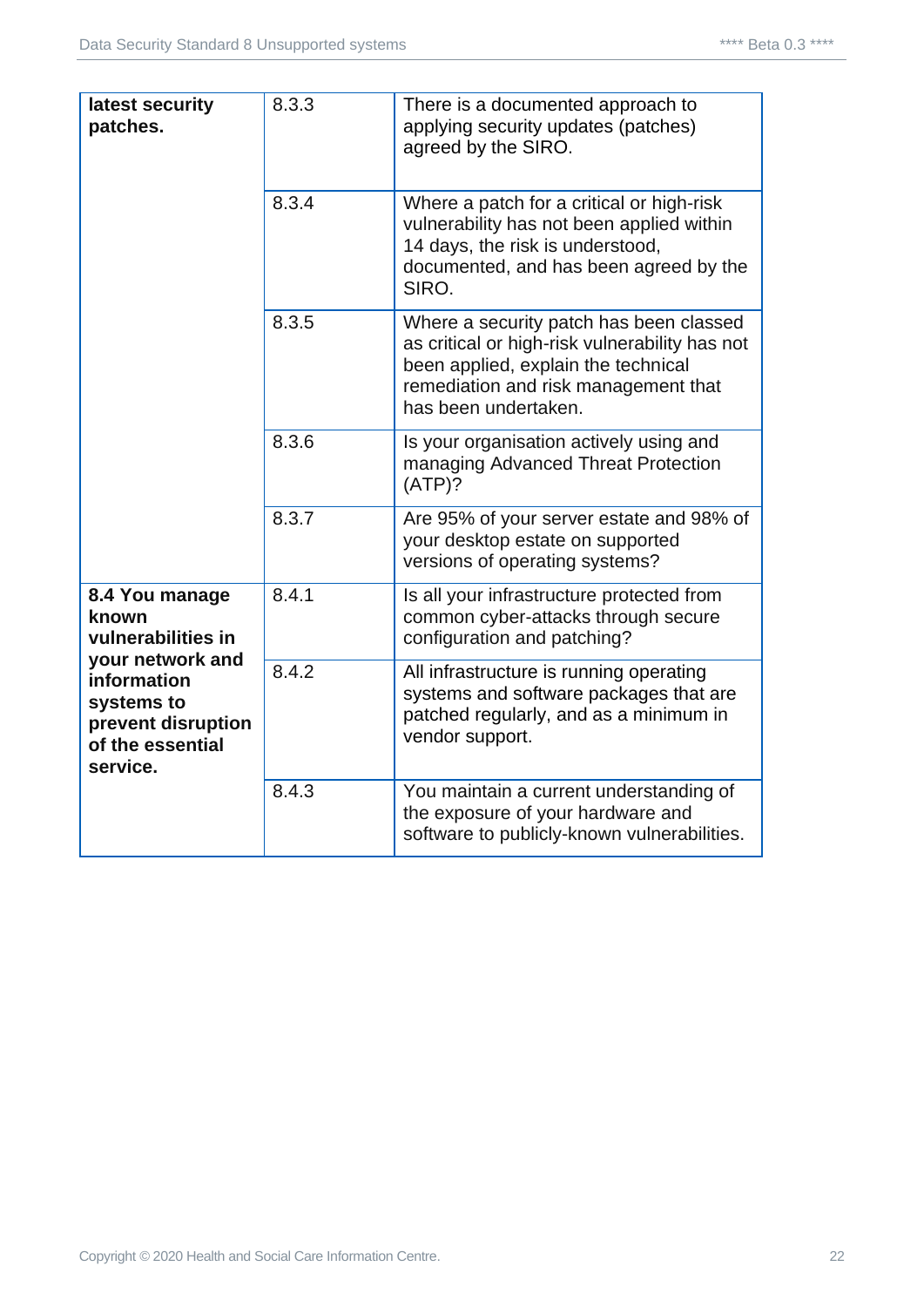| latest security<br>patches.                                                                                                                          | 8.3.3 | There is a documented approach to<br>applying security updates (patches)<br>agreed by the SIRO.                                                                                                  |
|------------------------------------------------------------------------------------------------------------------------------------------------------|-------|--------------------------------------------------------------------------------------------------------------------------------------------------------------------------------------------------|
|                                                                                                                                                      | 8.3.4 | Where a patch for a critical or high-risk<br>vulnerability has not been applied within<br>14 days, the risk is understood,<br>documented, and has been agreed by the<br>SIRO.                    |
|                                                                                                                                                      | 8.3.5 | Where a security patch has been classed<br>as critical or high-risk vulnerability has not<br>been applied, explain the technical<br>remediation and risk management that<br>has been undertaken. |
|                                                                                                                                                      | 8.3.6 | Is your organisation actively using and<br>managing Advanced Threat Protection<br>(ATP)?                                                                                                         |
|                                                                                                                                                      | 8.3.7 | Are 95% of your server estate and 98% of<br>your desktop estate on supported<br>versions of operating systems?                                                                                   |
| 8.4 You manage<br>known<br>vulnerabilities in<br>your network and<br>information<br>systems to<br>prevent disruption<br>of the essential<br>service. | 8.4.1 | Is all your infrastructure protected from<br>common cyber-attacks through secure<br>configuration and patching?                                                                                  |
|                                                                                                                                                      | 8.4.2 | All infrastructure is running operating<br>systems and software packages that are<br>patched regularly, and as a minimum in<br>vendor support.                                                   |
|                                                                                                                                                      | 8.4.3 | You maintain a current understanding of<br>the exposure of your hardware and<br>software to publicly-known vulnerabilities.                                                                      |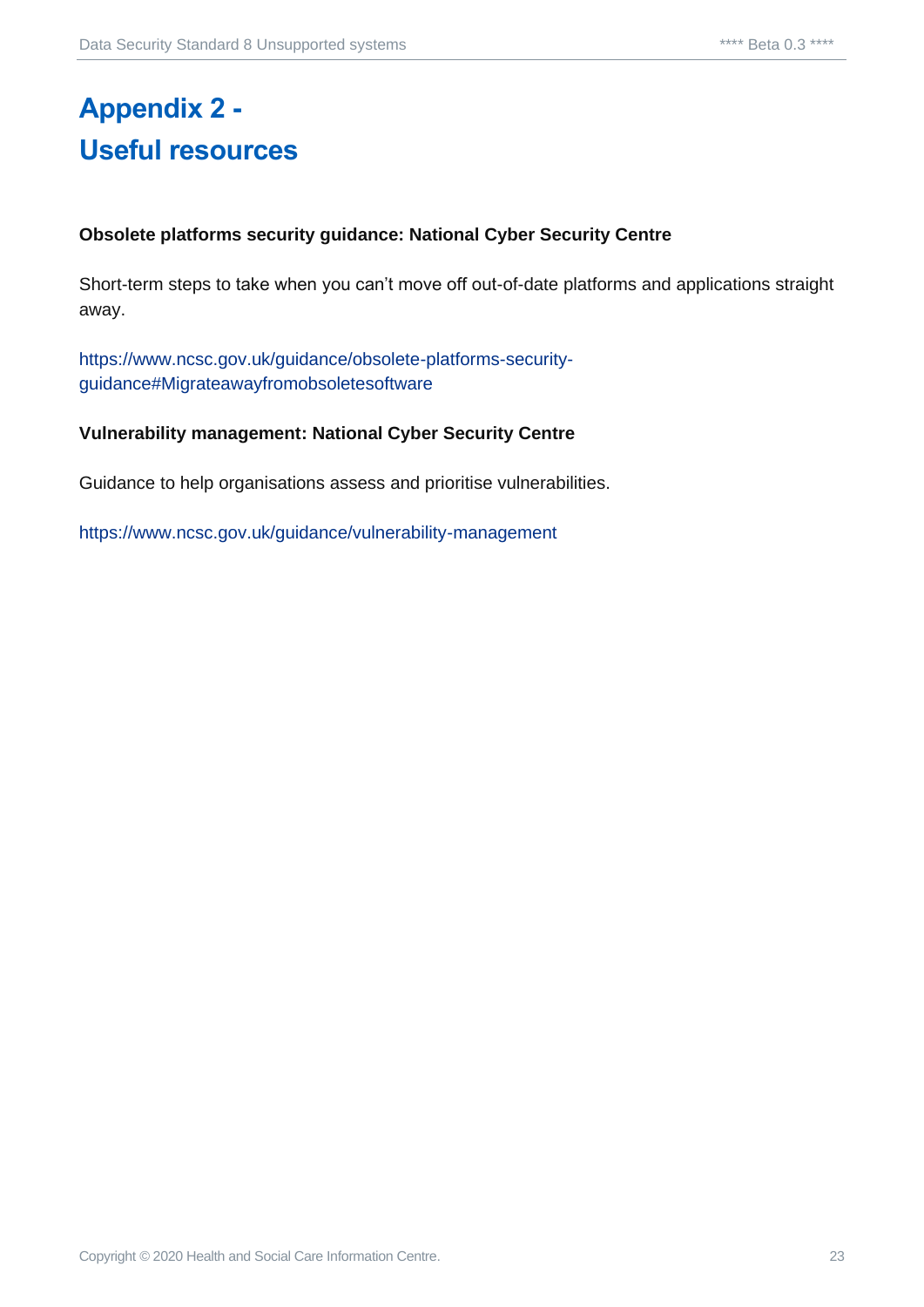# <span id="page-22-1"></span><span id="page-22-0"></span>**Appendix 2 - Useful resources**

#### **Obsolete platforms security guidance: National Cyber Security Centre**

Short-term steps to take when you can't move off out-of-date platforms and applications straight away.

[https://www.ncsc.gov.uk/guidance/obsolete-platforms-security](https://www.ncsc.gov.uk/guidance/obsolete-platforms-security-guidance#Migrateawayfromobsoletesoftware)[guidance#Migrateawayfromobsoletesoftware](https://www.ncsc.gov.uk/guidance/obsolete-platforms-security-guidance#Migrateawayfromobsoletesoftware)

#### **Vulnerability management: National Cyber Security Centre**

Guidance to help organisations assess and prioritise vulnerabilities.

<https://www.ncsc.gov.uk/guidance/vulnerability-management>